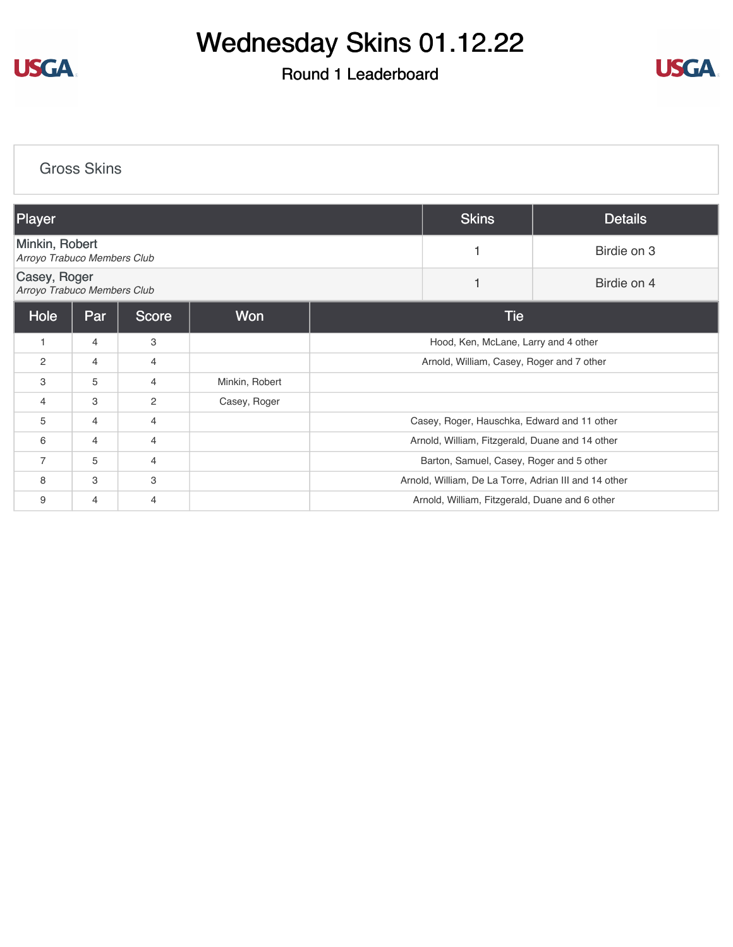

## Wednesday Skins 01.12.22

#### Round 1 Leaderboard



### [Gross Skins](https://cdn2.golfgenius.com/v2tournaments/8120744588680913168?called_from=&round_index=1) Player Skins Details [Minkin, Robert](https://cdn2.golfgenius.com/tournaments2/details/8121415254434406708) **MINKIN, RODENT 1**<br>*Arroyo Trabuco Members Club* 1 Birdie on 3 [Casey, Roger](https://cdn2.golfgenius.com/tournaments2/details/8121415254434406720) *Arroyo Trabuco Members Club* <sup>1</sup> Birdie on 4 Hole Par Score Won International Money Tie 1 4 3 3 Hood, Ken, McLane, Larry and 4 other 2 4 4 4 Arnold, William, Casey, Roger and 7 other 3 5 4 Minkin, Robert 4 3 2 Casey, Roger 5 4 4 4 Casey, Roger, Hauschka, Edward and 11 other 6 4 4 4 H C 2002 1 Arnold, William, Fitzgerald, Duane and 14 other 7 5 4 Barton, Samuel, Casey, Roger and 5 other 8 3 3 3 3 3 3 3 Arnold, William, De La Torre, Adrian III and 14 other 9 4 4 4 H C 2002 1 Arnold, William, Fitzgerald, Duane and 6 other